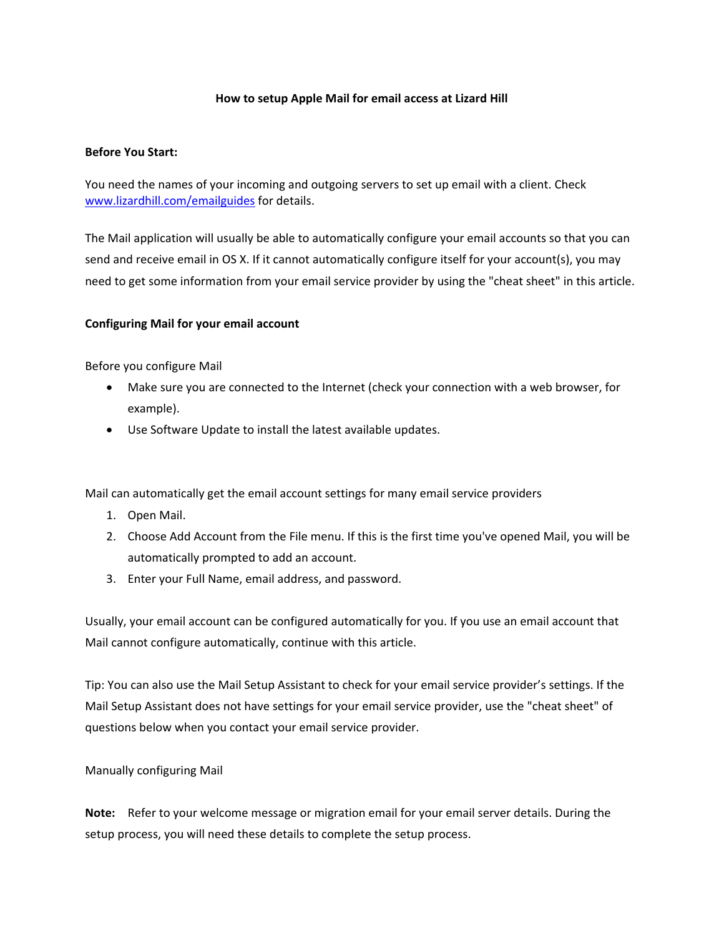## **How to setup Apple Mail for email access at Lizard Hill**

## **Before You Start:**

You need the names of your incoming and outgoing servers to set up email with a client. Check www.lizardhill.com/emailguides for details.

The Mail application will usually be able to automatically configure your email accounts so that you can send and receive email in OS X. If it cannot automatically configure itself for your account(s), you may need to get some information from your email service provider by using the "cheat sheet" in this article.

## **Configuring Mail for your email account**

Before you configure Mail

- Make sure you are connected to the Internet (check your connection with a web browser, for example).
- Use Software Update to install the latest available updates.

Mail can automatically get the email account settings for many email service providers

- 1. Open Mail.
- 2. Choose Add Account from the File menu. If this is the first time you've opened Mail, you will be automatically prompted to add an account.
- 3. Enter your Full Name, email address, and password.

Usually, your email account can be configured automatically for you. If you use an email account that Mail cannot configure automatically, continue with this article.

Tip: You can also use the Mail Setup Assistant to check for your email service provider's settings. If the Mail Setup Assistant does not have settings for your email service provider, use the "cheat sheet" of questions below when you contact your email service provider.

## Manually configuring Mail

**Note:** Refer to your welcome message or migration email for your email server details. During the setup process, you will need these details to complete the setup process.